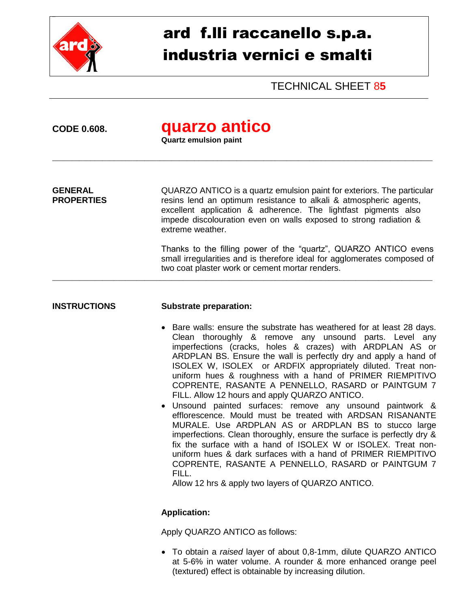

# ard f.lli raccanello s.p.a. industria vernici e smalti

TECHNICAL SHEET 8**5**

## **CODE 0.608. quarzo antico**

**Quartz emulsion paint**

**GENERAL** QUARZO ANTICO is a quartz emulsion paint for exteriors. The particular<br>**PROPERTIES** resins lend an optimum resistance to alkali & atmospheric agents. resins lend an optimum resistance to alkali & atmospheric agents, excellent application & adherence. The lightfast pigments also impede discolouration even on walls exposed to strong radiation & extreme weather.

\_\_\_\_\_\_\_\_\_\_\_\_\_\_\_\_\_\_\_\_\_\_\_\_\_\_\_\_\_\_\_\_\_\_\_\_\_\_\_\_\_\_\_\_\_\_\_\_\_\_\_\_\_\_\_\_\_\_\_\_\_\_\_\_\_\_\_\_\_\_\_\_\_\_\_\_\_\_\_\_\_\_\_\_\_\_\_\_\_\_\_\_\_\_\_\_\_\_\_

\_\_\_\_\_\_\_\_\_\_\_\_\_\_\_\_\_\_\_\_\_\_\_\_\_\_\_\_\_\_\_\_\_\_\_\_\_\_\_\_\_\_\_\_\_\_\_\_\_\_\_\_\_\_\_\_\_\_\_\_\_\_\_\_\_\_\_\_\_\_\_\_\_\_\_\_\_\_\_\_\_\_\_\_\_\_\_\_\_\_\_\_\_\_\_\_\_\_\_

Thanks to the filling power of the "quartz", QUARZO ANTICO evens small irregularities and is therefore ideal for agglomerates composed of two coat plaster work or cement mortar renders.

### **INSTRUCTIONS Substrate preparation:**

- Bare walls: ensure the substrate has weathered for at least 28 days. Clean thoroughly & remove any unsound parts. Level any imperfections (cracks, holes & crazes) with ARDPLAN AS or ARDPLAN BS. Ensure the wall is perfectly dry and apply a hand of ISOLEX W, ISOLEX or ARDFIX appropriately diluted. Treat nonuniform hues & roughness with a hand of PRIMER RIEMPITIVO COPRENTE, RASANTE A PENNELLO, RASARD or PAINTGUM 7 FILL. Allow 12 hours and apply QUARZO ANTICO.
- Unsound painted surfaces: remove any unsound paintwork & efflorescence. Mould must be treated with ARDSAN RISANANTE MURALE. Use ARDPLAN AS or ARDPLAN BS to stucco large imperfections. Clean thoroughly, ensure the surface is perfectly dry & fix the surface with a hand of ISOLEX W or ISOLEX. Treat nonuniform hues & dark surfaces with a hand of PRIMER RIEMPITIVO COPRENTE, RASANTE A PENNELLO, RASARD or PAINTGUM 7 FILL.

Allow 12 hrs & apply two layers of QUARZO ANTICO.

#### **Application:**

Apply QUARZO ANTICO as follows:

 To obtain a *raised* layer of about 0,8-1mm, dilute QUARZO ANTICO at 5-6% in water volume. A rounder & more enhanced orange peel (textured) effect is obtainable by increasing dilution.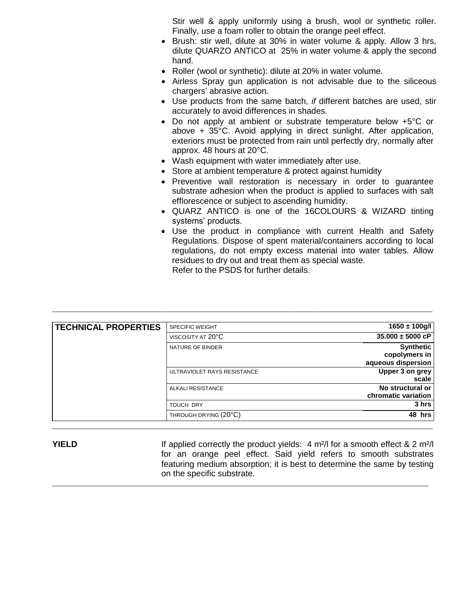Stir well & apply uniformly using a brush, wool or synthetic roller. Finally, use a foam roller to obtain the orange peel effect.

- Brush: stir well, dilute at 30% in water volume & apply. Allow 3 hrs, dilute QUARZO ANTICO at 25% in water volume & apply the second hand.
- Roller (wool or synthetic): dilute at 20% in water volume.
- Airless Spray gun application is not advisable due to the siliceous chargers' abrasive action.
- Use products from the same batch, *if* different batches are used, stir accurately to avoid differences in shades.
- Do not apply at ambient or substrate temperature below +5°C or above + 35°C. Avoid applying in direct sunlight. After application, exteriors must be protected from rain until perfectly dry, normally after approx. 48 hours at 20°C.
- Wash equipment with water immediately after use.
- Store at ambient temperature & protect against humidity
- Preventive wall restoration is necessary in order to quarantee substrate adhesion when the product is applied to surfaces with salt efflorescence or subject to ascending humidity.
- QUARZ ANTICO is one of the 16COLOURS & WIZARD tinting systems' products.
- Use the product in compliance with current Health and Safety Regulations. Dispose of spent material/containers according to local regulations, do not empty excess material into water tables. Allow residues to dry out and treat them as special waste. Refer to the PSDS for further details.

| <b>TECHNICAL PROPERTIES</b> | <b>SPECIFIC WEIGHT</b>      | $1650 \pm 100$ g/l   |
|-----------------------------|-----------------------------|----------------------|
|                             | VISCOSITY AT 20°C           | $35.000 \pm 5000$ cP |
|                             | NATURE OF BINDER            | <b>Synthetic</b>     |
|                             |                             | copolymers in        |
|                             |                             | aqueous dispersion   |
|                             | ULTRAVIOLET RAYS RESISTANCE | Upper 3 on grey      |
|                             |                             | scale                |
|                             | <b>ALKALI RESISTANCE</b>    | No structural or     |
|                             |                             | chromatic variation  |
|                             | <b>TOUCH DRY</b>            | 3 hrs                |
|                             | THROUGH DRYING (20°C)       | 48 hrs               |

 $\_$  ,  $\_$  ,  $\_$  ,  $\_$  ,  $\_$  ,  $\_$  ,  $\_$  ,  $\_$  ,  $\_$  ,  $\_$  ,  $\_$  ,  $\_$  ,  $\_$  ,  $\_$  ,  $\_$  ,  $\_$  ,  $\_$  ,  $\_$  ,  $\_$  ,  $\_$  ,  $\_$  ,  $\_$  ,  $\_$  ,  $\_$  ,  $\_$  ,  $\_$  ,  $\_$  ,  $\_$  ,  $\_$  ,  $\_$  ,  $\_$  ,  $\_$  ,  $\_$  ,  $\_$  ,  $\_$  ,  $\_$  ,  $\_$  ,

\_\_\_\_\_\_\_\_\_\_\_\_\_\_\_\_\_\_\_\_\_\_\_\_\_\_\_\_\_\_\_\_\_\_\_\_\_\_\_\_\_\_\_\_\_\_\_\_\_\_\_\_\_\_\_\_\_\_\_\_\_\_\_\_\_\_\_\_\_\_\_\_\_\_\_\_\_\_\_\_\_\_\_\_\_\_\_\_\_\_\_\_\_\_\_\_\_\_\_

**YIELD** If applied correctly the product yields: 4 m<sup>2</sup>/l for a smooth effect & 2 m<sup>2</sup>/l for an orange peel effect. Said yield refers to smooth substrates featuring medium absorption; it is best to determine the same by testing on the specific substrate.